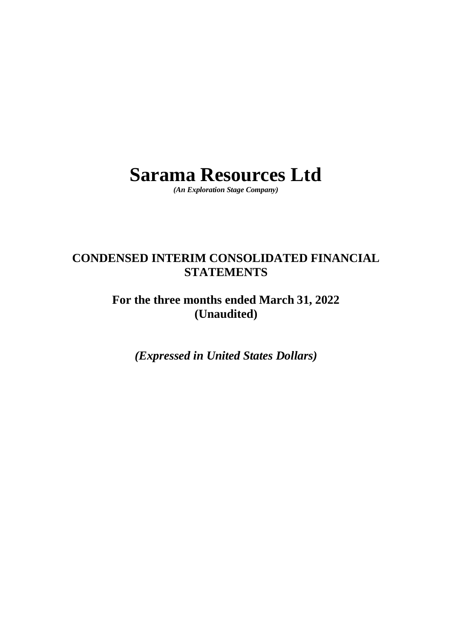# **Sarama Resources Ltd**

*(An Exploration Stage Company)*

# **CONDENSED INTERIM CONSOLIDATED FINANCIAL STATEMENTS**

# **For the three months ended March 31, 2022 (Unaudited)**

*(Expressed in United States Dollars)*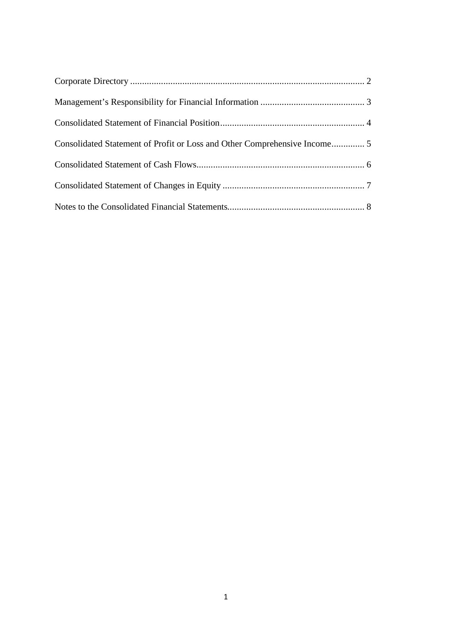| Consolidated Statement of Profit or Loss and Other Comprehensive Income 5 |  |
|---------------------------------------------------------------------------|--|
|                                                                           |  |
|                                                                           |  |
|                                                                           |  |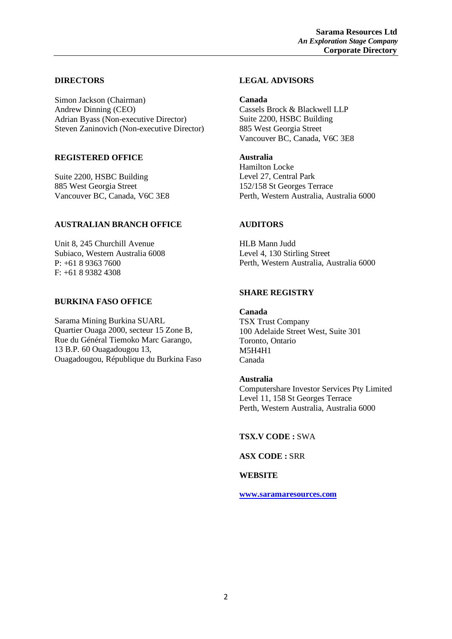# **DIRECTORS**

Simon Jackson (Chairman) Andrew Dinning (CEO) Adrian Byass (Non-executive Director) Steven Zaninovich (Non-executive Director)

# **REGISTERED OFFICE**

Suite 2200, HSBC Building 885 West Georgia Street Vancouver BC, Canada, V6C 3E8

# **AUSTRALIAN BRANCH OFFICE**

Unit 8, 245 Churchill Avenue Subiaco, Western Australia 6008 P: +61 8 9363 7600 F: +61 8 9382 4308

# **BURKINA FASO OFFICE**

Sarama Mining Burkina SUARL Quartier Ouaga 2000, secteur 15 Zone B, Rue du Général Tiemoko Marc Garango, 13 B.P. 60 Ouagadougou 13, Ouagadougou, République du Burkina Faso

# **LEGAL ADVISORS**

# **Canada**

Cassels Brock & Blackwell LLP Suite 2200, HSBC Building 885 West Georgia Street Vancouver BC, Canada, V6C 3E8

# **Australia**

Hamilton Locke Level 27, Central Park 152/158 St Georges Terrace Perth, Western Australia, Australia 6000

# **AUDITORS**

HLB Mann Judd Level 4, 130 Stirling Street Perth, Western Australia, Australia 6000

# **SHARE REGISTRY**

**Canada** TSX Trust Company 100 Adelaide Street West, Suite 301 Toronto, Ontario M5H4H1 Canada

# **Australia**

Computershare Investor Services Pty Limited Level 11, 158 St Georges Terrace Perth, Western Australia, Australia 6000

# **TSX.V CODE :** SWA

**ASX CODE :** SRR

# **WEBSITE**

**[www.saramaresources.com](http://www.saramaresources.com/)**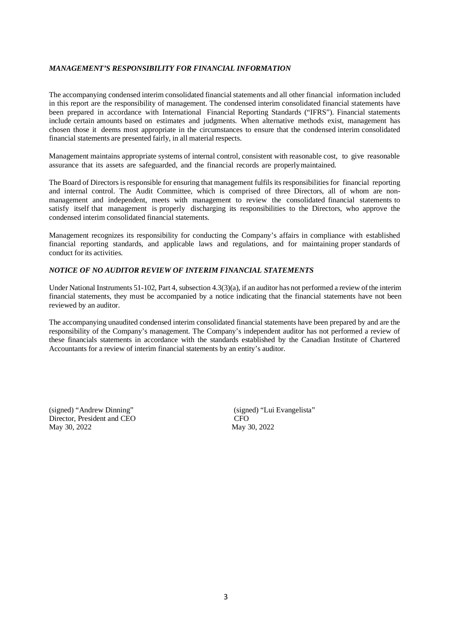#### *MANAGEMENT'S RESPONSIBILITY FOR FINANCIAL INFORMATION*

The accompanying condensed interim consolidated financial statements and all other financial information included in this report are the responsibility of management. The condensed interim consolidated financial statements have been prepared in accordance with International Financial Reporting Standards ("IFRS"). Financial statements include certain amounts based on estimates and judgments. When alternative methods exist, management has chosen those it deems most appropriate in the circumstances to ensure that the condensed interim consolidated financial statements are presented fairly, in all material respects.

Management maintains appropriate systems of internal control, consistent with reasonable cost, to give reasonable assurance that its assets are safeguarded, and the financial records are properlymaintained.

The Board of Directors isresponsible for ensuring that management fulfils its responsibilities for financial reporting and internal control. The Audit Committee, which is comprised of three Directors, all of whom are nonmanagement and independent, meets with management to review the consolidated financial statements to satisfy itself that management is properly discharging its responsibilities to the Directors, who approve the condensed interim consolidated financial statements.

Management recognizes its responsibility for conducting the Company's affairs in compliance with established financial reporting standards, and applicable laws and regulations, and for maintaining proper standards of conduct for its activities.

### *NOTICE OF NO AUDITOR REVIEW OF INTERIM FINANCIAL STATEMENTS*

Under National Instruments 51-102, Part 4, subsection 4.3(3)(a), if an auditor has not performed a review of the interim financial statements, they must be accompanied by a notice indicating that the financial statements have not been reviewed by an auditor.

The accompanying unaudited condensed interim consolidated financial statements have been prepared by and are the responsibility of the Company's management. The Company's independent auditor has not performed a review of these financials statements in accordance with the standards established by the Canadian Institute of Chartered Accountants for a review of interim financial statements by an entity's auditor.

(signed) "Andrew Dinning" (signed) "Lui Evangelista" Director, President and CEO<br>
May 30, 2022<br>
May 30, 2022 May 30, 2022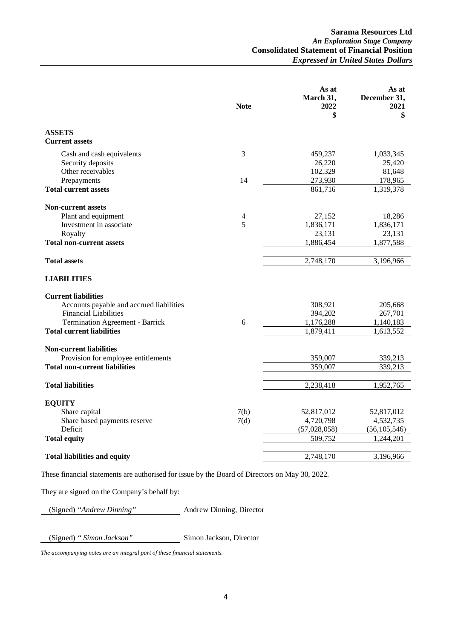|                                          | <b>Note</b>    | As at<br>March 31,<br>2022<br>\$ | As at<br>December 31,<br>2021<br>\$ |
|------------------------------------------|----------------|----------------------------------|-------------------------------------|
| <b>ASSETS</b>                            |                |                                  |                                     |
| <b>Current assets</b>                    |                |                                  |                                     |
| Cash and cash equivalents                | 3              | 459,237                          | 1,033,345                           |
| Security deposits                        |                | 26,220                           | 25,420                              |
| Other receivables                        |                | 102,329                          | 81,648                              |
| Prepayments                              | 14             | 273,930                          | 178,965                             |
| <b>Total current assets</b>              |                | 861,716                          | 1,319,378                           |
| <b>Non-current assets</b>                |                |                                  |                                     |
| Plant and equipment                      | $\overline{4}$ | 27,152                           | 18,286                              |
| Investment in associate.                 | 5              | 1,836,171                        | 1,836,171                           |
| Royalty                                  |                | 23,131                           | 23,131                              |
| <b>Total non-current assets</b>          |                | 1,886,454                        | 1,877,588                           |
| <b>Total assets</b>                      |                | 2,748,170                        | 3,196,966                           |
|                                          |                |                                  |                                     |
| <b>LIABILITIES</b>                       |                |                                  |                                     |
| <b>Current liabilities</b>               |                |                                  |                                     |
| Accounts payable and accrued liabilities |                | 308,921                          | 205,668                             |
| <b>Financial Liabilities</b>             |                | 394,202                          | 267,701                             |
| Termination Agreement - Barrick          | 6              | 1,176,288                        | 1,140,183                           |
| <b>Total current liabilities</b>         |                | 1,879,411                        | 1,613,552                           |
| <b>Non-current liabilities</b>           |                |                                  |                                     |
| Provision for employee entitlements      |                | 359,007                          | 339,213                             |
| <b>Total non-current liabilities</b>     |                | 359,007                          | 339,213                             |
|                                          |                |                                  |                                     |
| <b>Total liabilities</b>                 |                | 2,238,418                        | 1,952,765                           |
| <b>EQUITY</b>                            |                |                                  |                                     |
| Share capital                            | 7(b)           | 52,817,012                       | 52,817,012                          |
| Share based payments reserve             | 7(d)           | 4,720,798                        | 4,532,735                           |
| Deficit                                  |                | (57,028,058)                     | (56, 105, 546)                      |
| <b>Total equity</b>                      |                | 509,752                          | 1,244,201                           |
|                                          |                |                                  |                                     |
| <b>Total liabilities and equity</b>      |                | 2,748,170                        | 3,196,966                           |

These financial statements are authorised for issue by the Board of Directors on May 30, 2022.

They are signed on the Company's behalf by:

(Signed) *"Andrew Dinning"* Andrew Dinning, Director

(Signed) *" Simon Jackson"* Simon Jackson, Director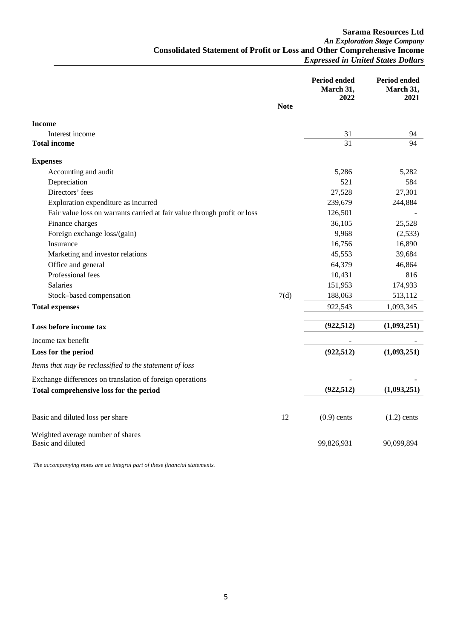**Sarama Resources Ltd** *An Exploration Stage Company* **Consolidated Statement of Profit or Loss and Other Comprehensive Income** *Expressed in United States Dollars*

|                                                                          | <b>Note</b> | Period ended<br>March 31,<br>2022 | <b>Period ended</b><br>March 31,<br>2021 |
|--------------------------------------------------------------------------|-------------|-----------------------------------|------------------------------------------|
| <b>Income</b>                                                            |             |                                   |                                          |
| Interest income                                                          |             | 31                                | 94                                       |
| <b>Total income</b>                                                      |             | 31                                | 94                                       |
| <b>Expenses</b>                                                          |             |                                   |                                          |
| Accounting and audit                                                     |             | 5,286                             | 5,282                                    |
| Depreciation                                                             |             | 521                               | 584                                      |
| Directors' fees                                                          |             | 27,528                            | 27,301                                   |
| Exploration expenditure as incurred                                      |             | 239,679                           | 244,884                                  |
| Fair value loss on warrants carried at fair value through profit or loss |             | 126,501                           |                                          |
| Finance charges                                                          |             | 36,105                            | 25,528                                   |
| Foreign exchange loss/(gain)                                             |             | 9,968                             | (2,533)                                  |
| Insurance                                                                |             | 16,756                            | 16,890                                   |
| Marketing and investor relations                                         |             | 45,553                            | 39,684                                   |
| Office and general                                                       |             | 64,379                            | 46,864                                   |
| Professional fees                                                        |             | 10,431                            | 816                                      |
| Salaries                                                                 |             | 151,953                           | 174,933                                  |
| Stock-based compensation                                                 | 7(d)        | 188,063                           | 513,112                                  |
| <b>Total expenses</b>                                                    |             | 922,543                           | 1,093,345                                |
| Loss before income tax                                                   |             | (922, 512)                        | (1,093,251)                              |
| Income tax benefit                                                       |             |                                   |                                          |
| Loss for the period                                                      |             | (922, 512)                        | (1,093,251)                              |
| Items that may be reclassified to the statement of loss                  |             |                                   |                                          |
| Exchange differences on translation of foreign operations                |             |                                   |                                          |
| Total comprehensive loss for the period                                  |             | (922, 512)                        | (1,093,251)                              |
| Basic and diluted loss per share                                         | 12          | $(0.9)$ cents                     | $(1.2)$ cents                            |
| Weighted average number of shares<br>Basic and diluted                   |             | 99,826,931                        | 90,099,894                               |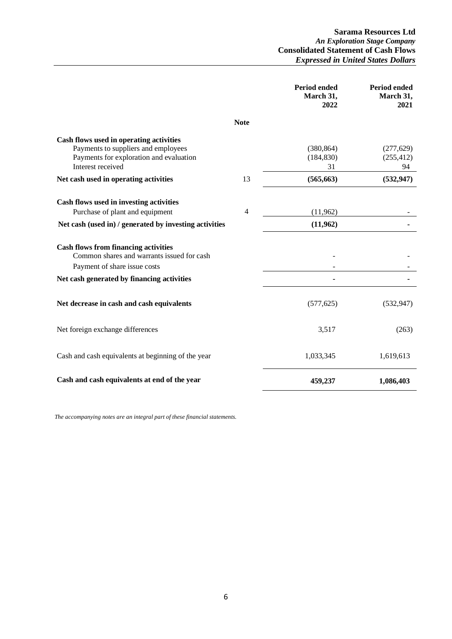**Sarama Resources Ltd** *An Exploration Stage Company* **Consolidated Statement of Cash Flows** *Expressed in United States Dollars*

|                                                                                                                                                |             | <b>Period ended</b><br>March 31,<br>2022 | Period ended<br>March 31,<br>2021 |
|------------------------------------------------------------------------------------------------------------------------------------------------|-------------|------------------------------------------|-----------------------------------|
|                                                                                                                                                | <b>Note</b> |                                          |                                   |
| Cash flows used in operating activities<br>Payments to suppliers and employees<br>Payments for exploration and evaluation<br>Interest received |             | (380, 864)<br>(184, 830)<br>31           | (277, 629)<br>(255, 412)<br>94    |
| Net cash used in operating activities                                                                                                          | 13          | (565, 663)                               | (532, 947)                        |
| Cash flows used in investing activities<br>Purchase of plant and equipment<br>Net cash (used in) / generated by investing activities           | 4           | (11,962)<br>(11,962)                     |                                   |
| <b>Cash flows from financing activities</b><br>Common shares and warrants issued for cash<br>Payment of share issue costs                      |             |                                          |                                   |
| Net cash generated by financing activities                                                                                                     |             |                                          |                                   |
| Net decrease in cash and cash equivalents                                                                                                      |             | (577, 625)                               | (532, 947)                        |
| Net foreign exchange differences                                                                                                               |             | 3,517                                    | (263)                             |
| Cash and cash equivalents at beginning of the year                                                                                             |             | 1,033,345                                | 1,619,613                         |
| Cash and cash equivalents at end of the year                                                                                                   |             | 459,237                                  | 1,086,403                         |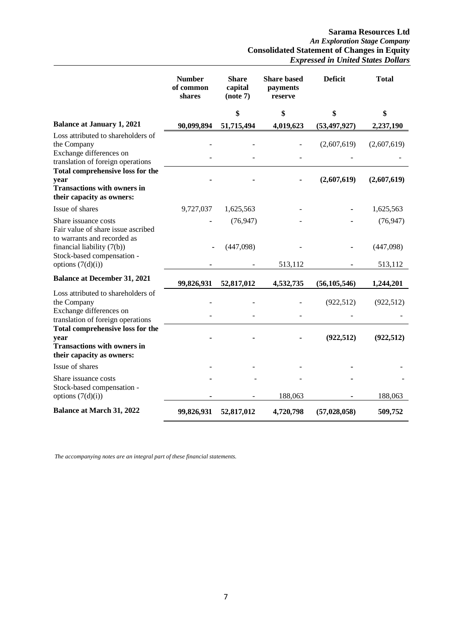|                                                                                                                    | <b>Number</b><br>of common<br>shares | <b>Share</b><br>capital<br>(note 7) | <b>Share based</b><br>payments<br>reserve | <b>Deficit</b> | <b>Total</b>         |
|--------------------------------------------------------------------------------------------------------------------|--------------------------------------|-------------------------------------|-------------------------------------------|----------------|----------------------|
|                                                                                                                    |                                      | \$                                  | \$                                        | \$             | \$                   |
| <b>Balance at January 1, 2021</b>                                                                                  | 90,099,894                           | 51,715,494                          | 4,019,623                                 | (53, 497, 927) | 2,237,190            |
| Loss attributed to shareholders of<br>the Company<br>Exchange differences on<br>translation of foreign operations  |                                      |                                     |                                           | (2,607,619)    | (2,607,619)          |
| <b>Total comprehensive loss for the</b><br>year<br><b>Transactions with owners in</b><br>their capacity as owners: |                                      |                                     |                                           | (2,607,619)    | (2,607,619)          |
| Issue of shares                                                                                                    | 9,727,037                            | 1,625,563                           |                                           |                | 1,625,563            |
| Share issuance costs<br>Fair value of share issue ascribed<br>to warrants and recorded as                          |                                      | (76, 947)                           |                                           |                | (76, 947)            |
| financial liability (7(b))<br>Stock-based compensation -<br>options $(7(d)(i))$                                    |                                      | (447,098)                           | 513,112                                   |                | (447,098)<br>513,112 |
| <b>Balance at December 31, 2021</b>                                                                                | 99,826,931                           | 52,817,012                          | 4,532,735                                 | (56, 105, 546) | 1,244,201            |
| Loss attributed to shareholders of<br>the Company<br>Exchange differences on                                       |                                      |                                     |                                           | (922, 512)     | (922, 512)           |
| translation of foreign operations                                                                                  |                                      |                                     |                                           |                |                      |
| <b>Total comprehensive loss for the</b><br>year<br><b>Transactions with owners in</b><br>their capacity as owners: |                                      |                                     |                                           | (922, 512)     | (922, 512)           |
| Issue of shares                                                                                                    |                                      |                                     |                                           |                |                      |
| Share issuance costs<br>Stock-based compensation -<br>options $(7(d)(i))$                                          |                                      |                                     | 188,063                                   |                | 188,063              |
| <b>Balance at March 31, 2022</b>                                                                                   | 99,826,931                           | 52,817,012                          | 4,720,798                                 | (57, 028, 058) | 509,752              |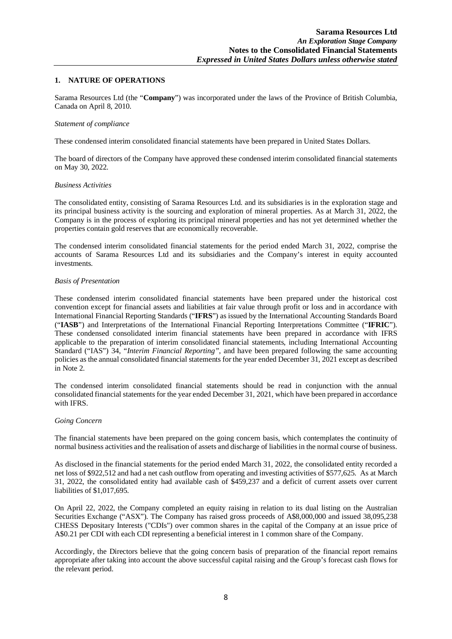#### **1. NATURE OF OPERATIONS**

Sarama Resources Ltd (the "**Company**") was incorporated under the laws of the Province of British Columbia, Canada on April 8, 2010.

#### *Statement of compliance*

These condensed interim consolidated financial statements have been prepared in United States Dollars.

The board of directors of the Company have approved these condensed interim consolidated financial statements on May 30, 2022.

#### *Business Activities*

The consolidated entity, consisting of Sarama Resources Ltd. and its subsidiaries is in the exploration stage and its principal business activity is the sourcing and exploration of mineral properties. As at March 31, 2022, the Company is in the process of exploring its principal mineral properties and has not yet determined whether the properties contain gold reserves that are economically recoverable.

The condensed interim consolidated financial statements for the period ended March 31, 2022, comprise the accounts of Sarama Resources Ltd and its subsidiaries and the Company's interest in equity accounted investments.

#### *Basis of Presentation*

These condensed interim consolidated financial statements have been prepared under the historical cost convention except for financial assets and liabilities at fair value through profit or loss and in accordance with International Financial Reporting Standards ("**IFRS**") as issued by the International Accounting Standards Board ("**IASB**") and Interpretations of the International Financial Reporting Interpretations Committee ("**IFRIC**"). These condensed consolidated interim financial statements have been prepared in accordance with IFRS applicable to the preparation of interim consolidated financial statements, including International Accounting Standard ("IAS") 34, "*Interim Financial Reporting"*, and have been prepared following the same accounting policies as the annual consolidated financial statements for the year ended December 31, 2021 except as described in Note 2.

The condensed interim consolidated financial statements should be read in conjunction with the annual consolidated financial statements for the year ended December 31, 2021, which have been prepared in accordance with IFRS.

#### *Going Concern*

The financial statements have been prepared on the going concern basis, which contemplates the continuity of normal business activities and the realisation of assets and discharge of liabilities in the normal course of business.

As disclosed in the financial statements for the period ended March 31, 2022, the consolidated entity recorded a net loss of \$922,512 and had a net cash outflow from operating and investing activities of \$577,625. As at March 31, 2022, the consolidated entity had available cash of \$459,237 and a deficit of current assets over current liabilities of \$1,017,695.

On April 22, 2022, the Company completed an equity raising in relation to its dual listing on the Australian Securities Exchange ("ASX"). The Company has raised gross proceeds of A\$8,000,000 and issued 38,095,238 CHESS Depositary Interests ("CDIs") over common shares in the capital of the Company at an issue price of A\$0.21 per CDI with each CDI representing a beneficial interest in 1 common share of the Company.

Accordingly, the Directors believe that the going concern basis of preparation of the financial report remains appropriate after taking into account the above successful capital raising and the Group's forecast cash flows for the relevant period.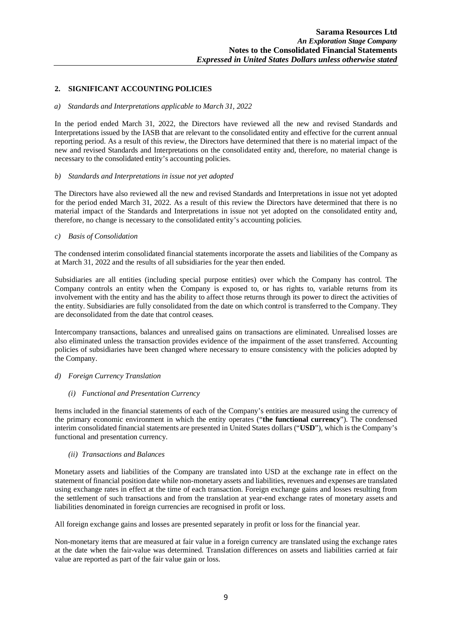#### **2. SIGNIFICANT ACCOUNTING POLICIES**

#### *a) Standards and Interpretations applicable to March 31, 2022*

In the period ended March 31, 2022, the Directors have reviewed all the new and revised Standards and Interpretations issued by the IASB that are relevant to the consolidated entity and effective for the current annual reporting period. As a result of this review, the Directors have determined that there is no material impact of the new and revised Standards and Interpretations on the consolidated entity and, therefore, no material change is necessary to the consolidated entity's accounting policies.

#### *b) Standards and Interpretations in issue not yet adopted*

The Directors have also reviewed all the new and revised Standards and Interpretations in issue not yet adopted for the period ended March 31, 2022. As a result of this review the Directors have determined that there is no material impact of the Standards and Interpretations in issue not yet adopted on the consolidated entity and, therefore, no change is necessary to the consolidated entity's accounting policies.

#### *c) Basis of Consolidation*

The condensed interim consolidated financial statements incorporate the assets and liabilities of the Company as at March 31, 2022 and the results of all subsidiaries for the year then ended.

Subsidiaries are all entities (including special purpose entities) over which the Company has control. The Company controls an entity when the Company is exposed to, or has rights to, variable returns from its involvement with the entity and has the ability to affect those returns through its power to direct the activities of the entity. Subsidiaries are fully consolidated from the date on which control is transferred to the Company. They are deconsolidated from the date that control ceases.

Intercompany transactions, balances and unrealised gains on transactions are eliminated. Unrealised losses are also eliminated unless the transaction provides evidence of the impairment of the asset transferred. Accounting policies of subsidiaries have been changed where necessary to ensure consistency with the policies adopted by the Company.

#### *d) Foreign Currency Translation*

#### *(i) Functional and Presentation Currency*

Items included in the financial statements of each of the Company's entities are measured using the currency of the primary economic environment in which the entity operates ("**the functional currency**"). The condensed interim consolidated financial statements are presented in United States dollars ("**USD**"), which is the Company's functional and presentation currency.

#### *(ii) Transactions and Balances*

Monetary assets and liabilities of the Company are translated into USD at the exchange rate in effect on the statement of financial position date while non-monetary assets and liabilities, revenues and expenses are translated using exchange rates in effect at the time of each transaction. Foreign exchange gains and losses resulting from the settlement of such transactions and from the translation at year-end exchange rates of monetary assets and liabilities denominated in foreign currencies are recognised in profit or loss.

All foreign exchange gains and losses are presented separately in profit or loss for the financial year.

Non-monetary items that are measured at fair value in a foreign currency are translated using the exchange rates at the date when the fair-value was determined. Translation differences on assets and liabilities carried at fair value are reported as part of the fair value gain or loss.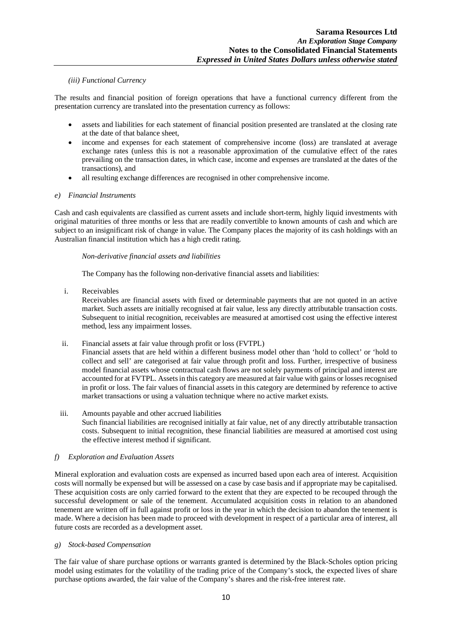#### *(iii) Functional Currency*

The results and financial position of foreign operations that have a functional currency different from the presentation currency are translated into the presentation currency as follows:

- assets and liabilities for each statement of financial position presented are translated at the closing rate at the date of that balance sheet,
- income and expenses for each statement of comprehensive income (loss) are translated at average exchange rates (unless this is not a reasonable approximation of the cumulative effect of the rates prevailing on the transaction dates, in which case, income and expenses are translated at the dates of the transactions), and
- all resulting exchange differences are recognised in other comprehensive income.

#### *e) Financial Instruments*

Cash and cash equivalents are classified as current assets and include short-term, highly liquid investments with original maturities of three months or less that are readily convertible to known amounts of cash and which are subject to an insignificant risk of change in value. The Company places the majority of its cash holdings with an Australian financial institution which has a high credit rating.

#### *Non-derivative financial assets and liabilities*

The Company has the following non-derivative financial assets and liabilities:

i. Receivables

Receivables are financial assets with fixed or determinable payments that are not quoted in an active market. Such assets are initially recognised at fair value, less any directly attributable transaction costs. Subsequent to initial recognition, receivables are measured at amortised cost using the effective interest method, less any impairment losses.

ii. Financial assets at fair value through profit or loss (FVTPL)

Financial assets that are held within a different business model other than 'hold to collect' or 'hold to collect and sell' are categorised at fair value through profit and loss. Further, irrespective of business model financial assets whose contractual cash flows are not solely payments of principal and interest are accounted for at FVTPL. Assets in this category are measured at fair value with gains or losses recognised in profit or loss. The fair values of financial assets in this category are determined by reference to active market transactions or using a valuation technique where no active market exists.

iii. Amounts payable and other accrued liabilities Such financial liabilities are recognised initially at fair value, net of any directly attributable transaction costs. Subsequent to initial recognition, these financial liabilities are measured at amortised cost using the effective interest method if significant.

# *f) Exploration and Evaluation Assets*

Mineral exploration and evaluation costs are expensed as incurred based upon each area of interest. Acquisition costs will normally be expensed but will be assessed on a case by case basis and if appropriate may be capitalised. These acquisition costs are only carried forward to the extent that they are expected to be recouped through the successful development or sale of the tenement. Accumulated acquisition costs in relation to an abandoned tenement are written off in full against profit or loss in the year in which the decision to abandon the tenement is made. Where a decision has been made to proceed with development in respect of a particular area of interest, all future costs are recorded as a development asset.

#### *g) Stock-based Compensation*

The fair value of share purchase options or warrants granted is determined by the Black-Scholes option pricing model using estimates for the volatility of the trading price of the Company's stock, the expected lives of share purchase options awarded, the fair value of the Company's shares and the risk-free interest rate.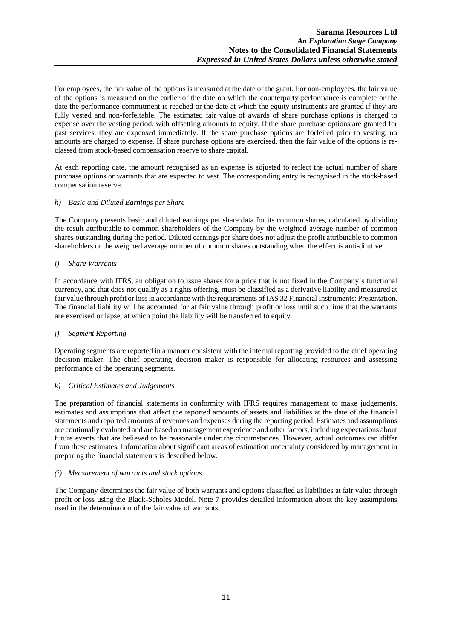For employees, the fair value of the options is measured at the date of the grant. For non-employees, the fair value of the options is measured on the earlier of the date on which the counterparty performance is complete or the date the performance commitment is reached or the date at which the equity instruments are granted if they are fully vested and non-forfeitable. The estimated fair value of awards of share purchase options is charged to expense over the vesting period, with offsetting amounts to equity. If the share purchase options are granted for past services, they are expensed immediately. If the share purchase options are forfeited prior to vesting, no amounts are charged to expense. If share purchase options are exercised, then the fair value of the options is reclassed from stock-based compensation reserve to share capital.

At each reporting date, the amount recognised as an expense is adjusted to reflect the actual number of share purchase options or warrants that are expected to vest. The corresponding entry is recognised in the stock-based compensation reserve.

#### *h) Basic and Diluted Earnings per Share*

The Company presents basic and diluted earnings per share data for its common shares, calculated by dividing the result attributable to common shareholders of the Company by the weighted average number of common shares outstanding during the period. Diluted earnings per share does not adjust the profit attributable to common shareholders or the weighted average number of common shares outstanding when the effect is anti-dilutive.

### *i) Share Warrants*

In accordance with IFRS, an obligation to issue shares for a price that is not fixed in the Company's functional currency, and that does not qualify as a rights offering, must be classified as a derivative liability and measured at fair value through profit or loss in accordance with the requirements of IAS 32 Financial Instruments: Presentation. The financial liability will be accounted for at fair value through profit or loss until such time that the warrants are exercised or lapse, at which point the liability will be transferred to equity.

# *j) Segment Reporting*

Operating segments are reported in a manner consistent with the internal reporting provided to the chief operating decision maker. The chief operating decision maker is responsible for allocating resources and assessing performance of the operating segments.

#### *k) Critical Estimates and Judgements*

The preparation of financial statements in conformity with IFRS requires management to make judgements, estimates and assumptions that affect the reported amounts of assets and liabilities at the date of the financial statements and reported amounts of revenues and expenses during the reporting period. Estimates and assumptions are continually evaluated and are based on management experience and other factors, including expectations about future events that are believed to be reasonable under the circumstances. However, actual outcomes can differ from these estimates. Information about significant areas of estimation uncertainty considered by management in preparing the financial statements is described below.

#### *(i) Measurement of warrants and stock options*

The Company determines the fair value of both warrants and options classified as liabilities at fair value through profit or loss using the Black-Scholes Model. Note 7 provides detailed information about the key assumptions used in the determination of the fair value of warrants.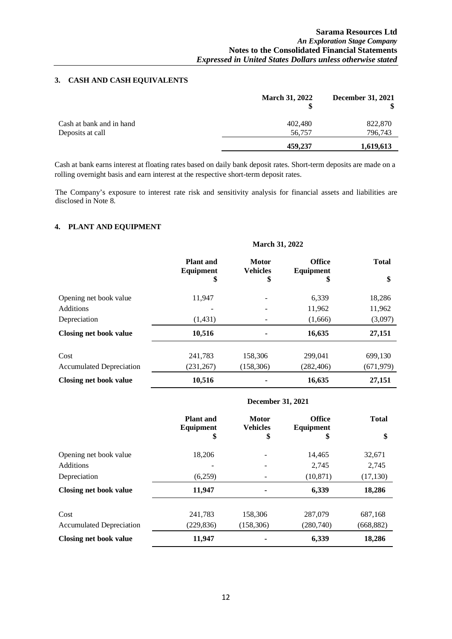### **3. CASH AND CASH EQUIVALENTS**

|                          | <b>March 31, 2022</b> | December 31, 2021 |
|--------------------------|-----------------------|-------------------|
| Cash at bank and in hand | 402,480               | 822,870           |
| Deposits at call         | 56,757                | 796,743           |
|                          | 459,237               | 1,619,613         |

Cash at bank earns interest at floating rates based on daily bank deposit rates. Short-term deposits are made on a rolling overnight basis and earn interest at the respective short-term deposit rates.

The Company's exposure to interest rate risk and sensitivity analysis for financial assets and liabilities are disclosed in Note 8.

#### **4. PLANT AND EQUIPMENT**

|                                 | <b>March 31, 2022</b>                |                                 |                                   |              |
|---------------------------------|--------------------------------------|---------------------------------|-----------------------------------|--------------|
|                                 | <b>Plant</b> and<br><b>Equipment</b> | <b>Motor</b><br><b>Vehicles</b> | <b>Office</b><br><b>Equipment</b> | <b>Total</b> |
|                                 | \$                                   | \$                              | \$                                | \$           |
| Opening net book value          | 11,947                               |                                 | 6,339                             | 18,286       |
| Additions                       |                                      |                                 | 11,962                            | 11,962       |
| Depreciation                    | (1,431)                              |                                 | (1,666)                           | (3,097)      |
| Closing net book value          | 10,516                               |                                 | 16,635                            | 27,151       |
| Cost                            | 241,783                              | 158,306                         | 299,041                           | 699,130      |
| <b>Accumulated Depreciation</b> | (231, 267)                           | (158, 306)                      | (282, 406)                        | (671, 979)   |
| <b>Closing net book value</b>   | 10,516                               |                                 | 16,635                            | 27,151       |

#### **December 31, 2021**

|                          | <b>Plant</b> and<br>Equipment<br>\$ | <b>Motor</b><br><b>Vehicles</b><br>\$ | <b>Office</b><br><b>Equipment</b><br>\$ | <b>Total</b><br>\$ |
|--------------------------|-------------------------------------|---------------------------------------|-----------------------------------------|--------------------|
| Opening net book value   | 18,206                              |                                       | 14,465                                  | 32,671             |
| <b>Additions</b>         |                                     | -                                     | 2,745                                   | 2,745              |
| Depreciation             | (6,259)                             |                                       | (10, 871)                               | (17, 130)          |
| Closing net book value   | 11,947                              |                                       | 6,339                                   | 18,286             |
| Cost                     | 241,783                             | 158,306                               | 287,079                                 | 687,168            |
| Accumulated Depreciation | (229, 836)                          | (158, 306)                            | (280,740)                               | (668, 882)         |
| Closing net book value   | 11,947                              |                                       | 6,339                                   | 18,286             |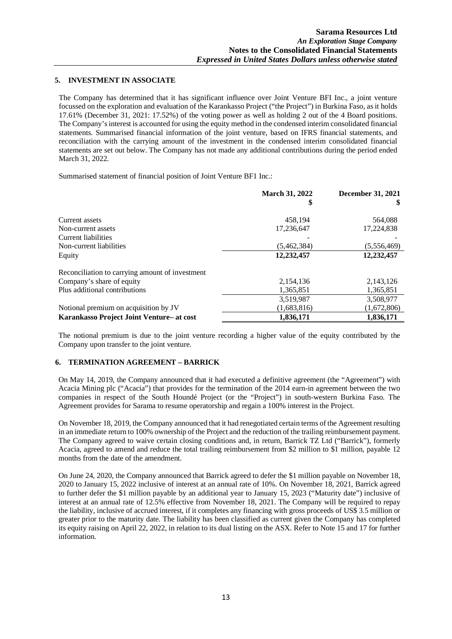#### **5. INVESTMENT IN ASSOCIATE**

The Company has determined that it has significant influence over Joint Venture BFI Inc., a joint venture focussed on the exploration and evaluation of the Karankasso Project ("the Project") in Burkina Faso, as it holds 17.61% (December 31, 2021: 17.52%) of the voting power as well as holding 2 out of the 4 Board positions. The Company's interest is accounted for using the equity method in the condensed interim consolidated financial statements. Summarised financial information of the joint venture, based on IFRS financial statements, and reconciliation with the carrying amount of the investment in the condensed interim consolidated financial statements are set out below. The Company has not made any additional contributions during the period ended March 31, 2022.

Summarised statement of financial position of Joint Venture BF1 Inc.:

|                                                 | <b>March 31, 2022</b><br>\$ | <b>December 31, 2021</b> |
|-------------------------------------------------|-----------------------------|--------------------------|
| Current assets                                  | 458,194                     | 564,088                  |
| Non-current assets                              | 17,236,647                  | 17,224,838               |
| Current liabilities                             |                             |                          |
| Non-current liabilities                         | (5,462,384)                 | (5.556, 469)             |
| Equity                                          | 12,232,457                  | 12,232,457               |
| Reconciliation to carrying amount of investment |                             |                          |
| Company's share of equity                       | 2,154,136                   | 2,143,126                |
| Plus additional contributions                   | 1,365,851                   | 1,365,851                |
|                                                 | 3,519,987                   | 3,508,977                |
| Notional premium on acquisition by JV           | (1,683,816)                 | (1,672,806)              |
| Karankasso Project Joint Venture- at cost       | 1,836,171                   | 1,836,171                |

The notional premium is due to the joint venture recording a higher value of the equity contributed by the Company upon transfer to the joint venture.

#### **6. TERMINATION AGREEMENT – BARRICK**

On May 14, 2019, the Company announced that it had executed a definitive agreement (the "Agreement") with Acacia Mining plc ("Acacia") that provides for the termination of the 2014 earn-in agreement between the two companies in respect of the South Houndé Project (or the "Project") in south-western Burkina Faso. The Agreement provides for Sarama to resume operatorship and regain a 100% interest in the Project.

On November 18, 2019, the Company announced that it had renegotiated certain terms of the Agreement resulting in an immediate return to 100% ownership of the Project and the reduction of the trailing reimbursement payment. The Company agreed to waive certain closing conditions and, in return, Barrick TZ Ltd ("Barrick"), formerly Acacia, agreed to amend and reduce the total trailing reimbursement from \$2 million to \$1 million, payable 12 months from the date of the amendment.

On June 24, 2020, the Company announced that Barrick agreed to defer the \$1 million payable on November 18, 2020 to January 15, 2022 inclusive of interest at an annual rate of 10%. On November 18, 2021, Barrick agreed to further defer the \$1 million payable by an additional year to January 15, 2023 ("Maturity date") inclusive of interest at an annual rate of 12.5% effective from November 18, 2021. The Company will be required to repay the liability, inclusive of accrued interest, if it completes any financing with gross proceeds of US\$ 3.5 million or greater prior to the maturity date. The liability has been classified as current given the Company has completed its equity raising on April 22, 2022, in relation to its dual listing on the ASX. Refer to Note 15 and 17 for further information.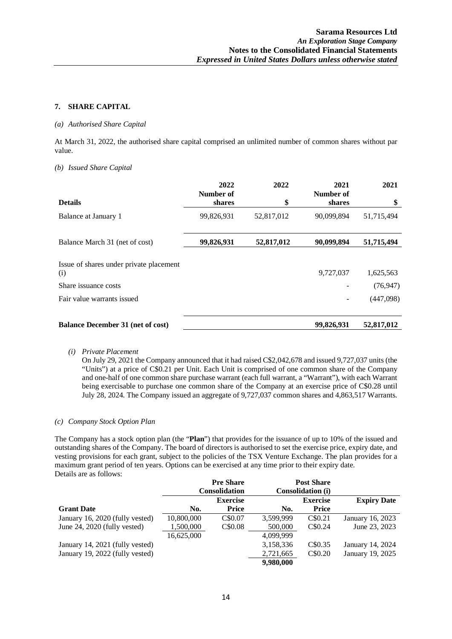### **7. SHARE CAPITAL**

#### *(a) Authorised Share Capital*

At March 31, 2022, the authorised share capital comprised an unlimited number of common shares without par value.

#### *(b) Issued Share Capital*

|                                                | 2022<br>Number of | 2022       | 2021<br>Number of | 2021       |
|------------------------------------------------|-------------------|------------|-------------------|------------|
| <b>Details</b>                                 | shares            | \$         | shares            | \$         |
| Balance at January 1                           | 99,826,931        | 52,817,012 | 90,099,894        | 51,715,494 |
| Balance March 31 (net of cost)                 | 99,826,931        | 52,817,012 | 90,099,894        | 51,715,494 |
| Issue of shares under private placement<br>(i) |                   |            | 9,727,037         | 1,625,563  |
| Share issuance costs                           |                   |            |                   | (76, 947)  |
| Fair value warrants issued                     |                   |            |                   | (447,098)  |
| <b>Balance December 31 (net of cost)</b>       |                   |            | 99,826,931        | 52,817,012 |

#### *(i) Private Placement*

On July 29, 2021 the Company announced that it had raised C\$2,042,678 and issued 9,727,037 units (the "Units") at a price of C\$0.21 per Unit. Each Unit is comprised of one common share of the Company and one-half of one common share purchase warrant (each full warrant, a "Warrant"), with each Warrant being exercisable to purchase one common share of the Company at an exercise price of C\$0.28 until July 28, 2024. The Company issued an aggregate of 9,727,037 common shares and 4,863,517 Warrants.

#### *(c) Company Stock Option Plan*

The Company has a stock option plan (the "**Plan**") that provides for the issuance of up to 10% of the issued and outstanding shares of the Company. The board of directors is authorised to set the exercise price, expiry date, and vesting provisions for each grant, subject to the policies of the TSX Venture Exchange. The plan provides for a maximum grant period of ten years. Options can be exercised at any time prior to their expiry date. Details are as follows:

|                                 |            | <b>Pre Share</b>     |           | <b>Post Share</b>        |                    |
|---------------------------------|------------|----------------------|-----------|--------------------------|--------------------|
|                                 |            | <b>Consolidation</b> |           | <b>Consolidation (i)</b> |                    |
|                                 |            | <b>Exercise</b>      |           | <b>Exercise</b>          | <b>Expiry Date</b> |
| <b>Grant Date</b>               | No.        | <b>Price</b>         | No.       | <b>Price</b>             |                    |
| January 16, 2020 (fully vested) | 10,800,000 | C\$0.07              | 3,599,999 | C\$0.21                  | January 16, 2023   |
| June 24, 2020 (fully vested)    | 1,500,000  | C\$0.08              | 500,000   | C\$0.24                  | June 23, 2023      |
|                                 | 16,625,000 |                      | 4.099.999 |                          |                    |
| January 14, 2021 (fully vested) |            |                      | 3,158,336 | C\$0.35                  | January 14, 2024   |
| January 19, 2022 (fully vested) |            |                      | 2,721,665 | C\$0.20                  | January 19, 2025   |
|                                 |            |                      | 9,980,000 |                          |                    |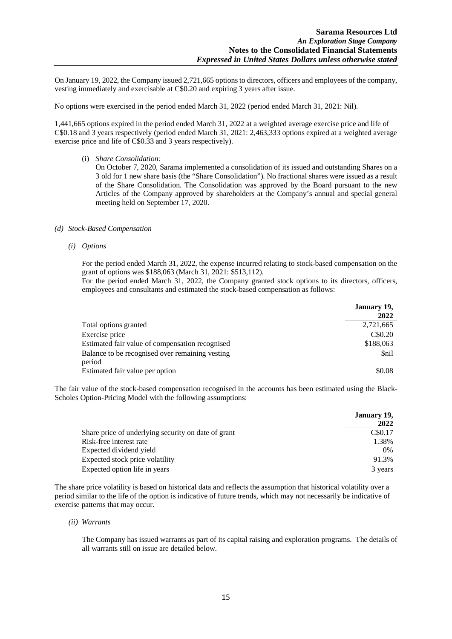On January 19, 2022, the Company issued 2,721,665 options to directors, officers and employees of the company, vesting immediately and exercisable at C\$0.20 and expiring 3 years after issue.

No options were exercised in the period ended March 31, 2022 (period ended March 31, 2021: Nil).

1,441,665 options expired in the period ended March 31, 2022 at a weighted average exercise price and life of C\$0.18 and 3 years respectively (period ended March 31, 2021: 2,463,333 options expired at a weighted average exercise price and life of C\$0.33 and 3 years respectively).

(i) *Share Consolidation:*

On October 7, 2020, Sarama implemented a consolidation of its issued and outstanding Shares on a 3 old for 1 new share basis (the "Share Consolidation"). No fractional shares were issued as a result of the Share Consolidation. The Consolidation was approved by the Board pursuant to the new Articles of the Company approved by shareholders at the Company's annual and special general meeting held on September 17, 2020.

#### *(d) Stock-Based Compensation*

*(i) Options*

For the period ended March 31, 2022, the expense incurred relating to stock-based compensation on the grant of options was \$188,063 (March 31, 2021: \$513,112).

For the period ended March 31, 2022, the Company granted stock options to its directors, officers, employees and consultants and estimated the stock-based compensation as follows:

|                                                           | January 19,<br>2022 |
|-----------------------------------------------------------|---------------------|
| Total options granted                                     | 2,721,665           |
| Exercise price                                            | C\$0.20             |
| Estimated fair value of compensation recognised           | \$188,063           |
| Balance to be recognised over remaining vesting<br>period | <b>Snil</b>         |
| Estimated fair value per option                           | \$0.08              |

The fair value of the stock-based compensation recognised in the accounts has been estimated using the Black-Scholes Option-Pricing Model with the following assumptions:

|                                                     | January 19, |
|-----------------------------------------------------|-------------|
|                                                     | 2022        |
| Share price of underlying security on date of grant | C\$0.17     |
| Risk-free interest rate                             | 1.38%       |
| Expected dividend yield                             | 0%          |
| Expected stock price volatility                     | 91.3%       |
| Expected option life in years                       | 3 years     |

The share price volatility is based on historical data and reflects the assumption that historical volatility over a period similar to the life of the option is indicative of future trends, which may not necessarily be indicative of exercise patterns that may occur.

*(ii) Warrants*

The Company has issued warrants as part of its capital raising and exploration programs. The details of all warrants still on issue are detailed below.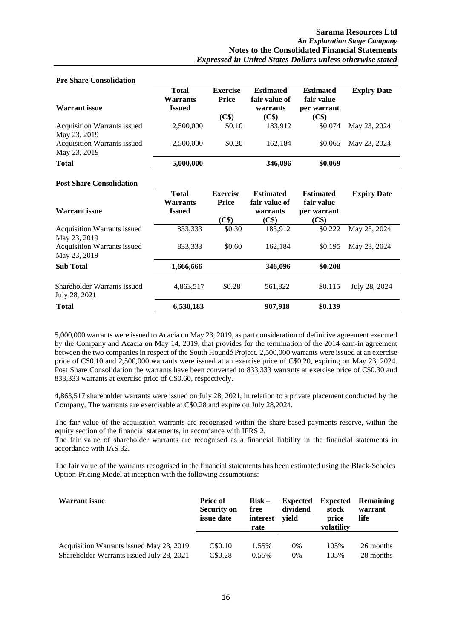| <b>Pre Share Consolidation</b>                     |                                                  |                                          |                                                        |                                                        |                    |
|----------------------------------------------------|--------------------------------------------------|------------------------------------------|--------------------------------------------------------|--------------------------------------------------------|--------------------|
| <b>Warrant</b> issue                               | <b>Total</b><br><b>Warrants</b><br><b>Issued</b> | <b>Exercise</b><br><b>Price</b><br>(C\$) | <b>Estimated</b><br>fair value of<br>warrants<br>(C\$) | <b>Estimated</b><br>fair value<br>per warrant<br>(C\$) | <b>Expiry Date</b> |
| Acquisition Warrants issued<br>May 23, 2019        | 2,500,000                                        | \$0.10                                   | 183,912                                                | \$0.074                                                | May 23, 2024       |
| <b>Acquisition Warrants issued</b><br>May 23, 2019 | 2,500,000                                        | \$0.20                                   | 162,184                                                | \$0.065                                                | May 23, 2024       |
| <b>Total</b>                                       | 5,000,000                                        |                                          | 346,096                                                | \$0.069                                                |                    |
| <b>Post Share Consolidation</b>                    |                                                  |                                          |                                                        |                                                        |                    |
|                                                    |                                                  |                                          |                                                        |                                                        |                    |
|                                                    | <b>Total</b><br><b>Warrants</b>                  | <b>Exercise</b><br><b>Price</b>          | <b>Estimated</b><br>fair value of                      | <b>Estimated</b><br>fair value                         | <b>Expiry Date</b> |
| <b>Warrant</b> issue                               | <b>Issued</b>                                    |                                          | warrants                                               | per warrant<br>(C\$)                                   |                    |
| Acquisition Warrants issued<br>May 23, 2019        | 833,333                                          | (C\$)<br>\$0.30                          | (C\$)<br>183,912                                       | \$0.222                                                | May 23, 2024       |
| Acquisition Warrants issued<br>May 23, 2019        | 833,333                                          | \$0.60                                   | 162,184                                                | \$0.195                                                | May 23, 2024       |
| <b>Sub Total</b>                                   | 1,666,666                                        |                                          | 346,096                                                | \$0.208                                                |                    |

5,000,000 warrants were issued to Acacia on May 23, 2019, as part consideration of definitive agreement executed by the Company and Acacia on May 14, 2019, that provides for the termination of the 2014 earn-in agreement between the two companies in respect of the South Houndé Project. 2,500,000 warrants were issued at an exercise price of C\$0.10 and 2,500,000 warrants were issued at an exercise price of C\$0.20, expiring on May 23, 2024. Post Share Consolidation the warrants have been converted to 833,333 warrants at exercise price of C\$0.30 and 833,333 warrants at exercise price of C\$0.60, respectively.

**Total 6,530,183 907,918 \$0.139**

4,863,517 shareholder warrants were issued on July 28, 2021, in relation to a private placement conducted by the Company. The warrants are exercisable at C\$0.28 and expire on July 28,2024.

The fair value of the acquisition warrants are recognised within the share-based payments reserve, within the equity section of the financial statements, in accordance with IFRS 2.

The fair value of shareholder warrants are recognised as a financial liability in the financial statements in accordance with IAS 32.

The fair value of the warrants recognised in the financial statements has been estimated using the Black-Scholes Option-Pricing Model at inception with the following assumptions:

| <b>Warrant issue</b>                      | <b>Price of</b><br><b>Security on</b><br><i>issue</i> date | $Risk -$<br>free<br>interest<br>rate | <b>Expected</b><br>dividend<br>vield | <b>Expected</b><br>stock<br>price<br>volatility | <b>Remaining</b><br>warrant<br>life |
|-------------------------------------------|------------------------------------------------------------|--------------------------------------|--------------------------------------|-------------------------------------------------|-------------------------------------|
| Acquisition Warrants issued May 23, 2019  | C\$0.10                                                    | 1.55%                                | $0\%$                                | 105%                                            | 26 months                           |
| Shareholder Warrants issued July 28, 2021 | C\$0.28                                                    | $0.55\%$                             | 0%                                   | 105%                                            | 28 months                           |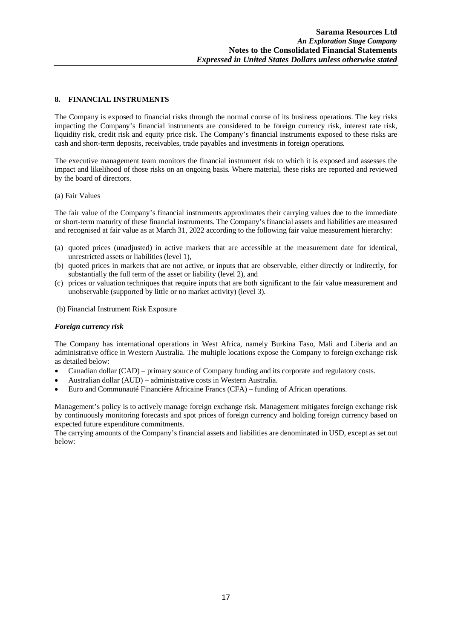### **8. FINANCIAL INSTRUMENTS**

The Company is exposed to financial risks through the normal course of its business operations. The key risks impacting the Company's financial instruments are considered to be foreign currency risk, interest rate risk, liquidity risk, credit risk and equity price risk. The Company's financial instruments exposed to these risks are cash and short-term deposits, receivables, trade payables and investments in foreign operations.

The executive management team monitors the financial instrument risk to which it is exposed and assesses the impact and likelihood of those risks on an ongoing basis. Where material, these risks are reported and reviewed by the board of directors.

#### (a) Fair Values

The fair value of the Company's financial instruments approximates their carrying values due to the immediate or short-term maturity of these financial instruments. The Company's financial assets and liabilities are measured and recognised at fair value as at March 31, 2022 according to the following fair value measurement hierarchy:

- (a) quoted prices (unadjusted) in active markets that are accessible at the measurement date for identical, unrestricted assets or liabilities (level 1),
- (b) quoted prices in markets that are not active, or inputs that are observable, either directly or indirectly, for substantially the full term of the asset or liability (level 2), and
- (c) prices or valuation techniques that require inputs that are both significant to the fair value measurement and unobservable (supported by little or no market activity) (level 3).
- (b) Financial Instrument Risk Exposure

#### *Foreign currency risk*

The Company has international operations in West Africa, namely Burkina Faso, Mali and Liberia and an administrative office in Western Australia. The multiple locations expose the Company to foreign exchange risk as detailed below:

- Canadian dollar (CAD) primary source of Company funding and its corporate and regulatory costs.
- Australian dollar (AUD) administrative costs in Western Australia.
- Euro and Communauté Financiére Africaine Francs (CFA) funding of African operations.

Management's policy is to actively manage foreign exchange risk. Management mitigates foreign exchange risk by continuously monitoring forecasts and spot prices of foreign currency and holding foreign currency based on expected future expenditure commitments.

The carrying amounts of the Company's financial assets and liabilities are denominated in USD, except as set out below: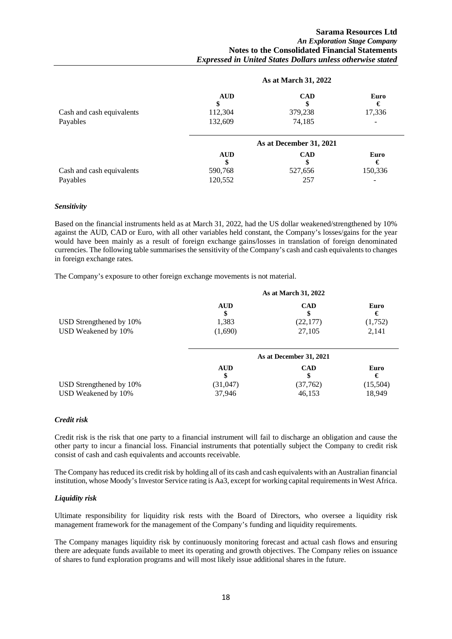|                           |                             | As at March 31, 2022       |                     |
|---------------------------|-----------------------------|----------------------------|---------------------|
| Cash and cash equivalents | <b>AUD</b><br>\$<br>112,304 | <b>CAD</b><br>S<br>379,238 | Euro<br>€<br>17,336 |
| Payables                  | 132,609                     | 74,185                     |                     |
|                           |                             | As at December 31, 2021    |                     |
|                           | <b>AUD</b><br>S             | <b>CAD</b><br>\$           | Euro<br>€           |
| Cash and cash equivalents | 590,768                     | 527,656                    | 150,336             |
| Payables                  | 120,552                     | 257                        |                     |

#### *Sensitivity*

Based on the financial instruments held as at March 31, 2022, had the US dollar weakened/strengthened by 10% against the AUD, CAD or Euro, with all other variables held constant, the Company's losses/gains for the year would have been mainly as a result of foreign exchange gains/losses in translation of foreign denominated currencies. The following table summarises the sensitivity of the Company's cash and cash equivalents to changes in foreign exchange rates.

The Company's exposure to other foreign exchange movements is not material.

|                         |            | As at March 31, 2022    |           |
|-------------------------|------------|-------------------------|-----------|
|                         | <b>AUD</b> | <b>CAD</b><br>\$        | Euro<br>€ |
| USD Strengthened by 10% | 1,383      | (22, 177)               | (1,752)   |
| USD Weakened by 10%     | (1,690)    | 27,105                  | 2,141     |
|                         |            | As at December 31, 2021 |           |
|                         | <b>AUD</b> | <b>CAD</b><br>\$        | Euro<br>€ |
| USD Strengthened by 10% | (31, 047)  | (37,762)                | (15,504)  |
| USD Weakened by 10%     | 37,946     | 46,153                  | 18,949    |

#### *Credit risk*

Credit risk is the risk that one party to a financial instrument will fail to discharge an obligation and cause the other party to incur a financial loss. Financial instruments that potentially subject the Company to credit risk consist of cash and cash equivalents and accounts receivable.

The Company has reduced its credit risk by holding all of its cash and cash equivalents with an Australian financial institution, whose Moody's Investor Service rating is Aa3, except for working capital requirements in West Africa.

#### *Liquidity risk*

Ultimate responsibility for liquidity risk rests with the Board of Directors, who oversee a liquidity risk management framework for the management of the Company's funding and liquidity requirements.

The Company manages liquidity risk by continuously monitoring forecast and actual cash flows and ensuring there are adequate funds available to meet its operating and growth objectives. The Company relies on issuance of shares to fund exploration programs and will most likely issue additional shares in the future.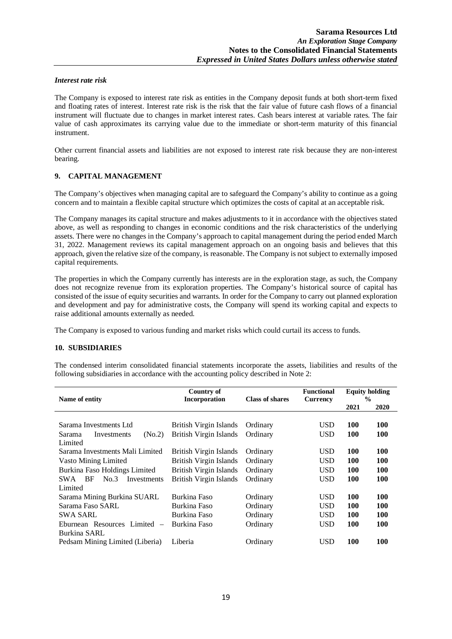#### *Interest rate risk*

The Company is exposed to interest rate risk as entities in the Company deposit funds at both short-term fixed and floating rates of interest. Interest rate risk is the risk that the fair value of future cash flows of a financial instrument will fluctuate due to changes in market interest rates. Cash bears interest at variable rates. The fair value of cash approximates its carrying value due to the immediate or short-term maturity of this financial instrument.

Other current financial assets and liabilities are not exposed to interest rate risk because they are non-interest bearing.

### **9. CAPITAL MANAGEMENT**

The Company's objectives when managing capital are to safeguard the Company's ability to continue as a going concern and to maintain a flexible capital structure which optimizes the costs of capital at an acceptable risk.

The Company manages its capital structure and makes adjustments to it in accordance with the objectives stated above, as well as responding to changes in economic conditions and the risk characteristics of the underlying assets. There were no changes in the Company's approach to capital management during the period ended March 31, 2022. Management reviews its capital management approach on an ongoing basis and believes that this approach, given the relative size of the company, is reasonable. The Company is not subject to externally imposed capital requirements.

The properties in which the Company currently has interests are in the exploration stage, as such, the Company does not recognize revenue from its exploration properties. The Company's historical source of capital has consisted of the issue of equity securities and warrants. In order for the Company to carry out planned exploration and development and pay for administrative costs, the Company will spend its working capital and expects to raise additional amounts externally as needed.

The Company is exposed to various funding and market risks which could curtail its access to funds.

#### **10. SUBSIDIARIES**

The condensed interim consolidated financial statements incorporate the assets, liabilities and results of the following subsidiaries in accordance with the accounting policy described in Note 2:

| Name of entity                               | <b>Country of</b><br>Incorporation | <b>Class of shares</b> | <b>Functional</b><br><b>Currency</b> | <b>Equity holding</b><br>$\frac{0}{0}$ |            |
|----------------------------------------------|------------------------------------|------------------------|--------------------------------------|----------------------------------------|------------|
|                                              |                                    |                        |                                      | 2021                                   | 2020       |
|                                              |                                    |                        |                                      |                                        |            |
| Sarama Investments Ltd                       | British Virgin Islands             | Ordinary               | <b>USD</b>                           | 100                                    | <b>100</b> |
| (N <sub>0.2</sub> )<br>Sarama<br>Investments | British Virgin Islands             | Ordinary               | <b>USD</b>                           | 100                                    | 100        |
| Limited                                      |                                    |                        |                                      |                                        |            |
| Sarama Investments Mali Limited              | British Virgin Islands             | Ordinary               | <b>USD</b>                           | 100                                    | 100        |
| Vasto Mining Limited                         | British Virgin Islands             | Ordinary               | <b>USD</b>                           | 100                                    | <b>100</b> |
| Burkina Faso Holdings Limited                | British Virgin Islands             | Ordinary               | <b>USD</b>                           | 100                                    | 100        |
| <b>SWA</b><br>BF<br>No.3<br>Investments      | British Virgin Islands             | Ordinary               | <b>USD</b>                           | <b>100</b>                             | <b>100</b> |
| Limited                                      |                                    |                        |                                      |                                        |            |
| Sarama Mining Burkina SUARL                  | Burkina Faso                       | Ordinary               | <b>USD</b>                           | <b>100</b>                             | <b>100</b> |
| Sarama Faso SARL                             | Burkina Faso                       | Ordinary               | <b>USD</b>                           | <b>100</b>                             | 100        |
| <b>SWA SARL</b>                              | Burkina Faso                       | Ordinary               | <b>USD</b>                           | <b>100</b>                             | <b>100</b> |
| Eburnean Resources Limited $-$               | Burkina Faso                       | Ordinary               | <b>USD</b>                           | 100                                    | 100        |
| Burkina SARL                                 |                                    |                        |                                      |                                        |            |
| Pedsam Mining Limited (Liberia)              | Liberia                            | Ordinary               | <b>USD</b>                           | 100                                    | 100        |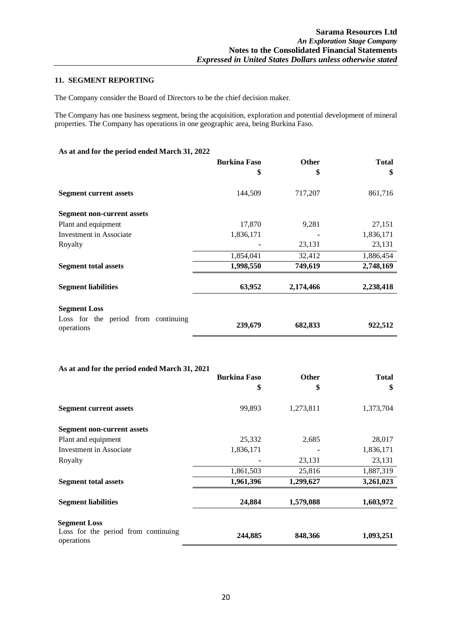# **11. SEGMENT REPORTING**

The Company consider the Board of Directors to be the chief decision maker.

The Company has one business segment, being the acquisition, exploration and potential development of mineral properties. The Company has operations in one geographic area, being Burkina Faso.

| As at and for the period ended March 31, 2022     |                     |              |              |
|---------------------------------------------------|---------------------|--------------|--------------|
|                                                   | <b>Burkina Faso</b> | <b>Other</b> | <b>Total</b> |
|                                                   | \$                  | \$           | \$           |
| <b>Segment current assets</b>                     | 144,509             | 717,207      | 861,716      |
| <b>Segment non-current assets</b>                 |                     |              |              |
| Plant and equipment                               | 17,870              | 9,281        | 27,151       |
| <b>Investment</b> in Associate                    | 1,836,171           |              | 1,836,171    |
| Royalty                                           | ۰                   | 23,131       | 23,131       |
|                                                   | 1,854,041           | 32,412       | 1,886,454    |
| <b>Segment total assets</b>                       | 1,998,550           | 749,619      | 2,748,169    |
| <b>Segment liabilities</b>                        | 63,952              | 2,174,466    | 2,238,418    |
| <b>Segment Loss</b>                               |                     |              |              |
| Loss for the period from continuing<br>operations | 239,679             | 682,833      | 922,512      |

#### **As at and for the period ended March 31, 2021**

|                                                   | <b>Burkina Faso</b> | <b>Other</b> | <b>Total</b> |
|---------------------------------------------------|---------------------|--------------|--------------|
|                                                   | \$                  | \$           | \$           |
| <b>Segment current assets</b>                     | 99,893              | 1,273,811    | 1,373,704    |
| <b>Segment non-current assets</b>                 |                     |              |              |
| Plant and equipment                               | 25,332              | 2,685        | 28,017       |
| Investment in Associate                           | 1,836,171           |              | 1,836,171    |
| Royalty                                           |                     | 23,131       | 23,131       |
|                                                   | 1,861,503           | 25,816       | 1,887,319    |
| <b>Segment total assets</b>                       | 1,961,396           | 1,299,627    | 3,261,023    |
| <b>Segment liabilities</b>                        | 24,884              | 1,579,088    | 1,603,972    |
| <b>Segment Loss</b>                               |                     |              |              |
| Loss for the period from continuing<br>operations | 244,885             | 848,366      | 1,093,251    |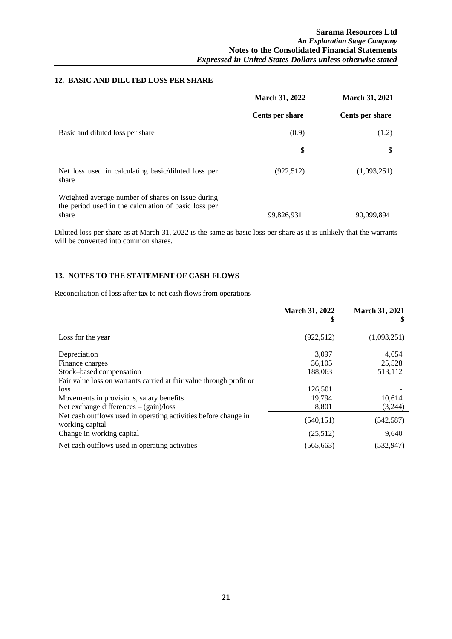# **12. BASIC AND DILUTED LOSS PER SHARE**

|                                                                                                                    | <b>March 31, 2022</b> | <b>March 31, 2021</b> |
|--------------------------------------------------------------------------------------------------------------------|-----------------------|-----------------------|
|                                                                                                                    | Cents per share       | Cents per share       |
| Basic and diluted loss per share                                                                                   | (0.9)                 | (1.2)                 |
|                                                                                                                    | \$                    | \$                    |
| Net loss used in calculating basic/diluted loss per<br>share                                                       | (922, 512)            | (1,093,251)           |
| Weighted average number of shares on issue during<br>the period used in the calculation of basic loss per<br>share | 99,826,931            | 90.099.894            |

Diluted loss per share as at March 31, 2022 is the same as basic loss per share as it is unlikely that the warrants will be converted into common shares.

# **13. NOTES TO THE STATEMENT OF CASH FLOWS**

Reconciliation of loss after tax to net cash flows from operations

|                                                                                    | <b>March 31, 2022</b><br>\$ | <b>March 31, 2021</b><br>\$ |
|------------------------------------------------------------------------------------|-----------------------------|-----------------------------|
| Loss for the year                                                                  | (922, 512)                  | (1,093,251)                 |
| Depreciation                                                                       | 3.097                       | 4,654                       |
| Finance charges                                                                    | 36,105                      | 25,528                      |
| Stock-based compensation                                                           | 188,063                     | 513,112                     |
| Fair value loss on warrants carried at fair value through profit or                |                             |                             |
| <i>loss</i>                                                                        | 126,501                     |                             |
| Movements in provisions, salary benefits                                           | 19.794                      | 10,614                      |
| Net exchange differences $-(gain)/loss$                                            | 8,801                       | (3,244)                     |
| Net cash outflows used in operating activities before change in<br>working capital | (540, 151)                  | (542, 587)                  |
| Change in working capital                                                          | (25,512)                    | 9,640                       |
| Net cash outflows used in operating activities                                     | (565, 663)                  | (532, 947)                  |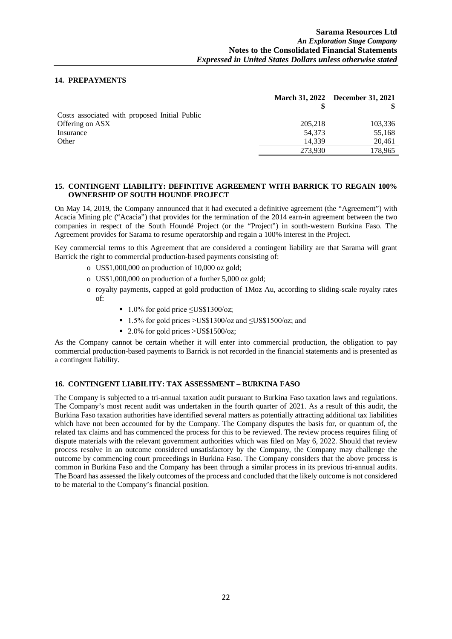### **14. PREPAYMENTS**

|         | March 31, 2022 December 31, 2021 |
|---------|----------------------------------|
|         |                                  |
|         |                                  |
| 205,218 | 103,336                          |
| 54.373  | 55,168                           |
| 14.339  | 20,461                           |
| 273.930 | 178,965                          |
|         |                                  |

#### **15. CONTINGENT LIABILITY: DEFINITIVE AGREEMENT WITH BARRICK TO REGAIN 100% OWNERSHIP OF SOUTH HOUNDE PROJECT**

On May 14, 2019, the Company announced that it had executed a definitive agreement (the "Agreement") with Acacia Mining plc ("Acacia") that provides for the termination of the 2014 earn-in agreement between the two companies in respect of the South Houndé Project (or the "Project") in south-western Burkina Faso. The Agreement provides for Sarama to resume operatorship and regain a 100% interest in the Project.

Key commercial terms to this Agreement that are considered a contingent liability are that Sarama will grant Barrick the right to commercial production-based payments consisting of:

- o US\$1,000,000 on production of 10,000 oz gold;
- o US\$1,000,000 on production of a further 5,000 oz gold;
- o royalty payments, capped at gold production of 1Moz Au, according to sliding-scale royalty rates of:
	- $\blacksquare$  1.0% for gold price  $\leq$ US\$1300/oz;
	- 1.5% for gold prices >US\$1300/oz and  $\leq$ US\$1500/oz; and
	- $\blacksquare$  2.0% for gold prices >US\$1500/oz;

As the Company cannot be certain whether it will enter into commercial production, the obligation to pay commercial production-based payments to Barrick is not recorded in the financial statements and is presented as a contingent liability.

#### **16. CONTINGENT LIABILITY: TAX ASSESSMENT – BURKINA FASO**

The Company is subjected to a tri-annual taxation audit pursuant to Burkina Faso taxation laws and regulations. The Company's most recent audit was undertaken in the fourth quarter of 2021. As a result of this audit, the Burkina Faso taxation authorities have identified several matters as potentially attracting additional tax liabilities which have not been accounted for by the Company. The Company disputes the basis for, or quantum of, the related tax claims and has commenced the process for this to be reviewed. The review process requires filing of dispute materials with the relevant government authorities which was filed on May 6, 2022. Should that review process resolve in an outcome considered unsatisfactory by the Company, the Company may challenge the outcome by commencing court proceedings in Burkina Faso. The Company considers that the above process is common in Burkina Faso and the Company has been through a similar process in its previous tri-annual audits. The Board has assessed the likely outcomes of the process and concluded that the likely outcome is not considered to be material to the Company's financial position.